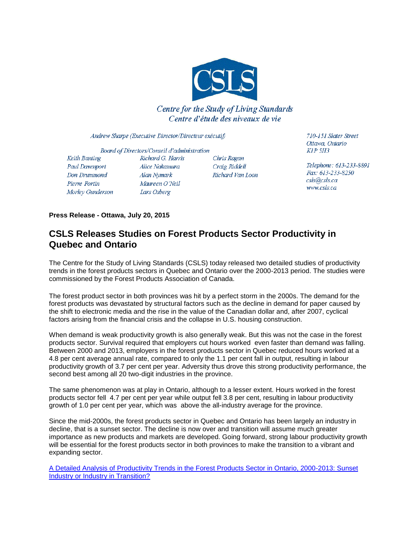

## **Centre for the Study of Living Standards** Centre d'étude des niveaux de vie

Andrew Sharpe (Executive Director/Directeur exécutif)

Board of Directors/Conseil d'administration Keith Banting Richard G. Harris Paul Davenport Alice Nakamura Don Drummond Alan Nymark Maureen O'Neil Pierre Fortin Morley Gunderson Lars Osberg

Chris Ragan Craig Riddell Richard Van Loon

710-151 Slater Street Ottawa, Ontario  $KIP$  5H3

Telephone: 613-233-8891 Fax: 613-233-8250  $csls@csls.ca$ www.csls.ca

**Press Release - Ottawa, July 20, 2015**

## **CSLS Releases Studies on Forest Products Sector Productivity in Quebec and Ontario**

The Centre for the Study of Living Standards (CSLS) today released two detailed studies of productivity trends in the forest products sectors in Quebec and Ontario over the 2000-2013 period. The studies were commissioned by the Forest Products Association of Canada.

The forest product sector in both provinces was hit by a perfect storm in the 2000s. The demand for the forest products was devastated by structural factors such as the decline in demand for paper caused by the shift to electronic media and the rise in the value of the Canadian dollar and, after 2007, cyclical factors arising from the financial crisis and the collapse in U.S. housing construction.

When demand is weak productivity growth is also generally weak. But this was not the case in the forest products sector. Survival required that employers cut hours worked even faster than demand was falling. Between 2000 and 2013, employers in the forest products sector in Quebec reduced hours worked at a 4.8 per cent average annual rate, compared to only the 1.1 per cent fall in output, resulting in labour productivity growth of 3.7 per cent per year. Adversity thus drove this strong productivity performance, the second best among all 20 two-digit industries in the province.

The same phenomenon was at play in Ontario, although to a lesser extent. Hours worked in the forest products sector fell 4.7 per cent per year while output fell 3.8 per cent, resulting in labour productivity growth of 1.0 per cent per year, which was above the all-industry average for the province.

Since the mid-2000s, the forest products sector in Quebec and Ontario has been largely an industry in decline, that is a sunset sector. The decline is now over and transition will assume much greater importance as new products and markets are developed. Going forward, strong labour productivity growth will be essential for the forest products sector in both provinces to make the transition to a vibrant and expanding sector.

[A Detailed Analysis of Productivity Trends in the Forest Products Sector in Ontario, 2000-2013: Sunset](http://www.csls.ca/reports/csls2015-06.pdf)  [Industry or Industry in Transition?](http://www.csls.ca/reports/csls2015-06.pdf)